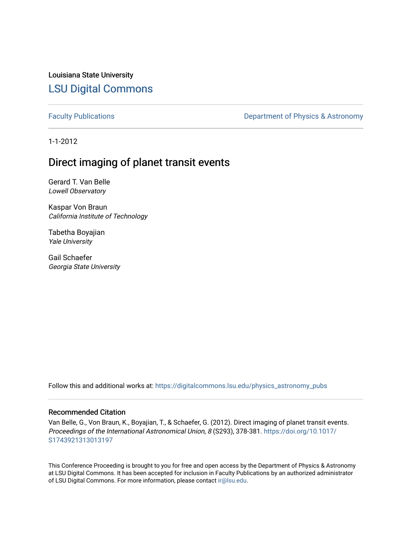Louisiana State University [LSU Digital Commons](https://digitalcommons.lsu.edu/)

[Faculty Publications](https://digitalcommons.lsu.edu/physics_astronomy_pubs) **Exercise 2 and Table 2 and Table 2 and Table 2 and Table 2 and Table 2 and Table 2 and Table 2 and Table 2 and Table 2 and Table 2 and Table 2 and Table 2 and Table 2 and Table 2 and Table 2 and Table** 

1-1-2012

## Direct imaging of planet transit events

Gerard T. Van Belle Lowell Observatory

Kaspar Von Braun California Institute of Technology

Tabetha Boyajian Yale University

Gail Schaefer Georgia State University

Follow this and additional works at: [https://digitalcommons.lsu.edu/physics\\_astronomy\\_pubs](https://digitalcommons.lsu.edu/physics_astronomy_pubs?utm_source=digitalcommons.lsu.edu%2Fphysics_astronomy_pubs%2F460&utm_medium=PDF&utm_campaign=PDFCoverPages) 

## Recommended Citation

Van Belle, G., Von Braun, K., Boyajian, T., & Schaefer, G. (2012). Direct imaging of planet transit events. Proceedings of the International Astronomical Union, 8 (S293), 378-381. [https://doi.org/10.1017/](https://doi.org/10.1017/S1743921313013197) [S1743921313013197](https://doi.org/10.1017/S1743921313013197) 

This Conference Proceeding is brought to you for free and open access by the Department of Physics & Astronomy at LSU Digital Commons. It has been accepted for inclusion in Faculty Publications by an authorized administrator of LSU Digital Commons. For more information, please contact [ir@lsu.edu](mailto:ir@lsu.edu).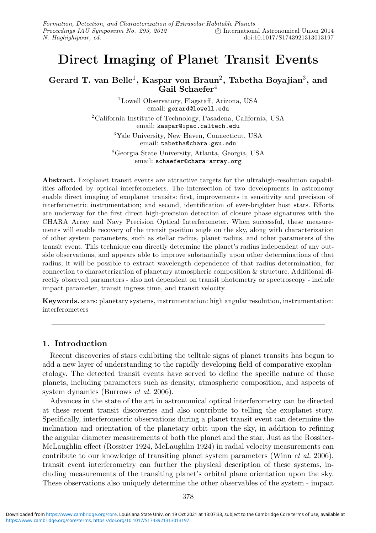# **Direct Imaging of Planet Transit Events**

## **Gerard T. van Belle**1**, Kaspar von Braun**2**, Tabetha Boyajian**3**, and Gail Schaefer**<sup>4</sup>

1Lowell Observatory, Flagstaff, Arizona, USA email: gerard@lowell.edu

2California Institute of Technology, Pasadena, California, USA email: kaspar@ipac.caltech.edu 3Yale University, New Haven, Connecticut, USA email: tabetha@chara.gsu.edu

> 4Georgia State University, Atlanta, Georgia, USA email: schaefer@chara-array.org

**Abstract.** Exoplanet transit events are attractive targets for the ultrahigh-resolution capabilities afforded by optical interferometers. The intersection of two developments in astronomy enable direct imaging of exoplanet transits: first, improvements in sensitivity and precision of interferometric instrumentation; and second, identification of ever-brighter host stars. Efforts are underway for the first direct high-precision detection of closure phase signatures with the CHARA Array and Navy Precision Optical Interferometer. When successful, these measurements will enable recovery of the transit position angle on the sky, along with characterization of other system parameters, such as stellar radius, planet radius, and other parameters of the transit event. This technique can directly determine the planet's radius independent of any outside observations, and appears able to improve substantially upon other determinations of that radius; it will be possible to extract wavelength dependence of that radius determination, for connection to characterization of planetary atmospheric composition & structure. Additional directly observed parameters - also not dependent on transit photometry or spectroscopy - include impact parameter, transit ingress time, and transit velocity.

**Keywords.** stars: planetary systems, instrumentation: high angular resolution, instrumentation: interferometers

## **1. Introduction**

Recent discoveries of stars exhibiting the telltale signs of planet transits has begun to add a new layer of understanding to the rapidly developing field of comparative exoplanetology. The detected transit events have served to define the specific nature of those planets, including parameters such as density, atmospheric composition, and aspects of system dynamics (Burrows et al. 2006).

Advances in the state of the art in astronomical optical interferometry can be directed at these recent transit discoveries and also contribute to telling the exoplanet story. Specifically, interferometric observations during a planet transit event can determine the inclination and orientation of the planetary orbit upon the sky, in addition to refining the angular diameter measurements of both the planet and the star. Just as the Rossiter-McLaughlin effect (Rossiter 1924, McLaughlin 1924) in radial velocity measurements can contribute to our knowledge of transiting planet system parameters (Winn  $et \ al. 2006$ ), transit event interferometry can further the physical description of these systems, including measurements of the transiting planet's orbital plane orientation upon the sky. These observations also uniquely determine the other observables of the system - impact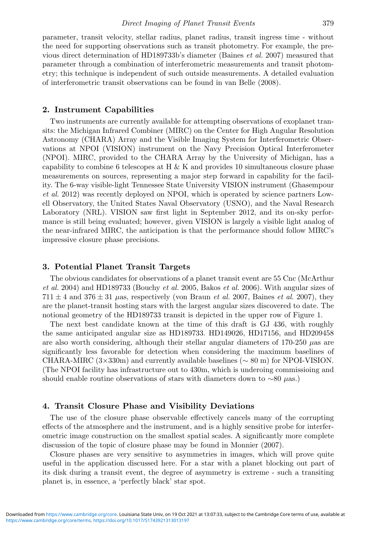parameter, transit velocity, stellar radius, planet radius, transit ingress time - without the need for supporting observations such as transit photometry. For example, the previous direct determination of HD189733b's diameter (Baines et al. 2007) measured that parameter through a combination of interferometric measurements and transit photometry; this technique is independent of such outside measurements. A detailed evaluation of interferometric transit observations can be found in van Belle (2008).

#### **2. Instrument Capabilities**

Two instruments are currently available for attempting observations of exoplanet transits: the Michigan Infrared Combiner (MIRC) on the Center for High Angular Resolution Astronomy (CHARA) Array and the Visible Imaging System for Interferometric Observations at NPOI (VISION) instrument on the Navy Precision Optical Interferometer (NPOI). MIRC, provided to the CHARA Array by the University of Michigan, has a capability to combine 6 telescopes at  $H \& K$  and provides 10 simultaneous closure phase measurements on sources, representing a major step forward in capability for the facility. The 6-way visible-light Tennessee State University VISION instrument (Ghasempour et al. 2012) was recently deployed on NPOI, which is operated by science partners Lowell Observatory, the United States Naval Observatory (USNO), and the Naval Research Laboratory (NRL). VISION saw first light in September 2012, and its on-sky performance is still being evaluated; however, given VISION is largely a visible light analog of the near-infrared MIRC, the anticipation is that the performance should follow MIRC's impressive closure phase precisions.

#### **3. Potential Planet Transit Targets**

The obvious candidates for observations of a planet transit event are 55 Cnc (McArthur  $et \ al. 2004$ ) and HD189733 (Bouchy  $et \ al. 2005$ , Bakos  $et \ al. 2006$ ). With angular sizes of  $711 \pm 4$  and  $376 \pm 31$  µas, respectively (von Braun *et al.* 2007, Baines *et al.* 2007), they are the planet-transit hosting stars with the largest angular sizes discovered to date. The notional geometry of the HD189733 transit is depicted in the upper row of Figure 1.

The next best candidate known at the time of this draft is GJ 436, with roughly the same anticipated angular size as HD189733. HD149026, HD17156, and HD209458 are also worth considering, although their stellar angular diameters of  $170-250$   $\mu$ as are significantly less favorable for detection when considering the maximum baselines of CHARA-MIRC  $(3\times330\text{m})$  and currently available baselines ( $\sim 80 \text{ m}$ ) for NPOI-VISION. (The NPOI facility has infrastructure out to 430m, which is underoing commissioing and should enable routine observations of stars with diameters down to  $\sim$ 80  $\mu$ as.)

#### **4. Transit Closure Phase and Visibility Deviations**

The use of the closure phase observable effectively cancels many of the corrupting effects of the atmosphere and the instrument, and is a highly sensitive probe for interferometric image construction on the smallest spatial scales. A significantly more complete discussion of the topic of closure phase may be found in Monnier (2007).

Closure phases are very sensitive to asymmetries in images, which will prove quite useful in the application discussed here. For a star with a planet blocking out part of its disk during a transit event, the degree of asymmetry is extreme - such a transiting planet is, in essence, a 'perfectly black' star spot.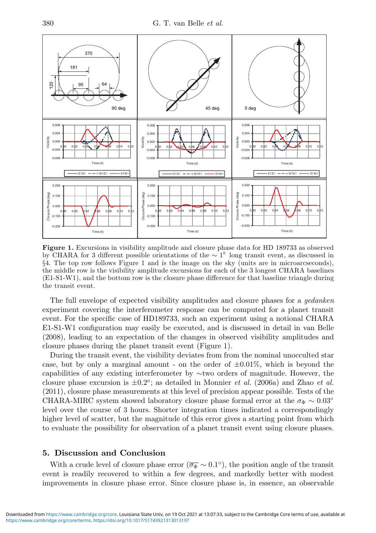

**Figure 1.** Excursions in visibility amplitude and closure phase data for HD 189733 as observed by CHARA for 3 different possible orientations of the  $\sim 1^h$  long transit event, as discussed in §4. The top row follows Figure 1 and is the image on the sky (units are in microarcseconds), the middle row is the visibility amplitude excursions for each of the 3 longest CHARA baselines (E1-S1-W1), and the bottom row is the closure phase difference for that baseline triangle during the transit event.

The full envelope of expected visibility amplitudes and closure phases for a gedanken experiment covering the interferometer response can be computed for a planet transit event. For the specific case of HD189733, such an experiment using a notional CHARA E1-S1-W1 configuration may easily be executed, and is discussed in detail in van Belle (2008), leading to an expectation of the changes in observed visibility amplitudes and closure phases during the planet transit event (Figure 1).

During the transit event, the visibility deviates from from the nominal unocculted star case, but by only a marginal amount - on the order of  $\pm 0.01\%$ , which is beyond the capabilities of any existing interferometer by ∼two orders of magnitude. However, the closure phase excursion is  $\pm 0.2^{\circ}$ ; as detailed in Monnier *et al.* (2006a) and Zhao *et al.* (2011), closure phase measurements at this level of precision appear possible. Tests of the CHARA-MIRC system showed laboratory closure phase formal error at the  $\sigma_{\Phi} \sim 0.03^{\circ}$ level over the course of 3 hours. Shorter integration times indicated a correspondingly higher level of scatter, but the magnitude of this error gives a starting point from which to evaluate the possibility for observation of a planet transit event using closure phases.

#### **5. Discussion and Conclusion**

With a crude level of closure phase error  $(\overline{\sigma_{\Phi}} \sim 0.1^{\circ})$ , the position angle of the transit event is readily recovered to within a few degrees, and markedly better with modest improvements in closure phase error. Since closure phase is, in essence, an observable